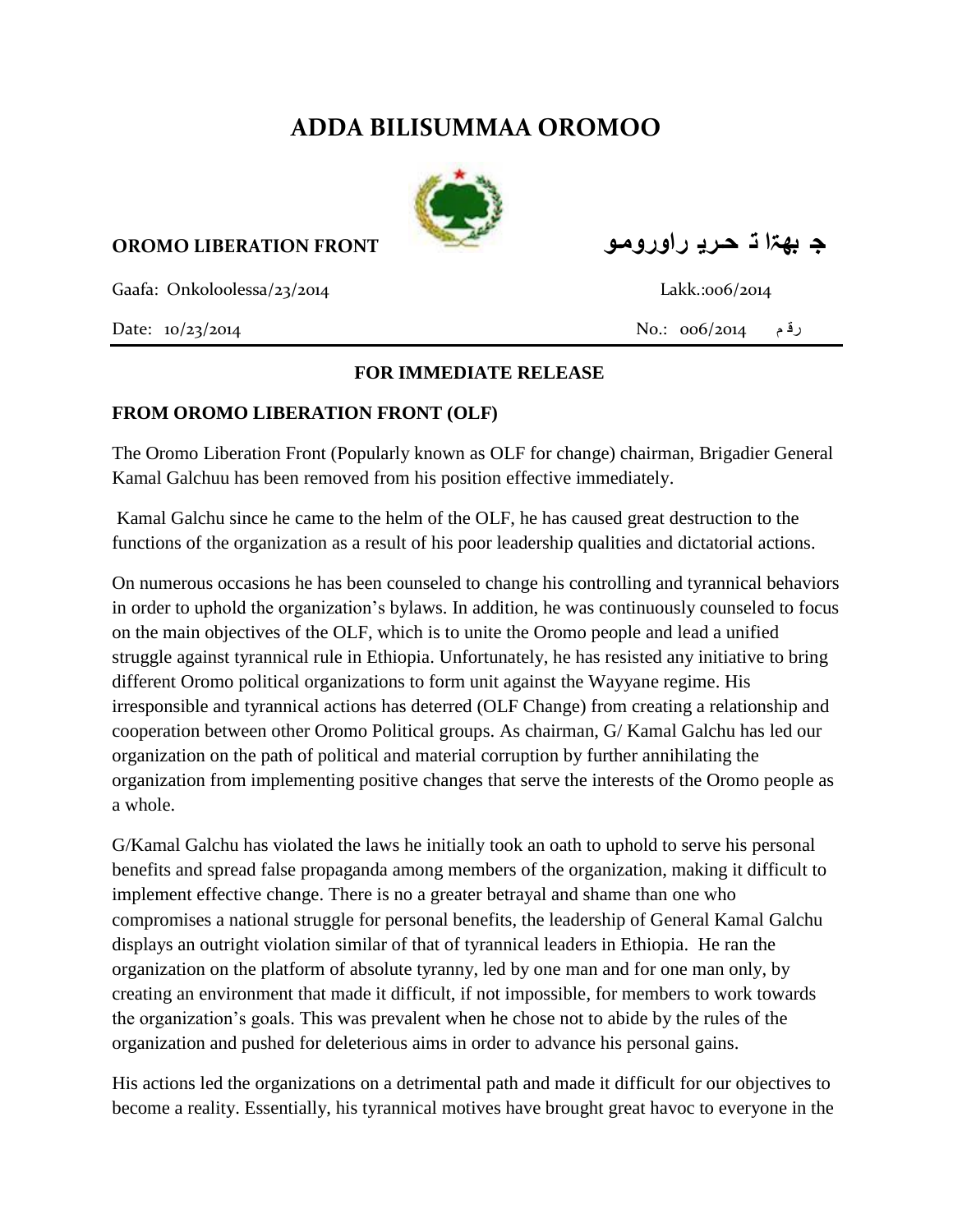## **ADDA BILISUMMAA OROMOO**



**ج بهۃا ت حـري راورومـى FRONT LIBERATION OROMO**

Gaafa: Onkoloolessa/23/2014 Lakk.:006/2014

## **FOR IMMEDIATE RELEASE**

## **FROM OROMO LIBERATION FRONT (OLF)**

The Oromo Liberation Front (Popularly known as OLF for change) chairman, Brigadier General Kamal Galchuu has been removed from his position effective immediately.

Kamal Galchu since he came to the helm of the OLF, he has caused great destruction to the functions of the organization as a result of his poor leadership qualities and dictatorial actions.

On numerous occasions he has been counseled to change his controlling and tyrannical behaviors in order to uphold the organization's bylaws. In addition, he was continuously counseled to focus on the main objectives of the OLF, which is to unite the Oromo people and lead a unified struggle against tyrannical rule in Ethiopia. Unfortunately, he has resisted any initiative to bring different Oromo political organizations to form unit against the Wayyane regime. His irresponsible and tyrannical actions has deterred (OLF Change) from creating a relationship and cooperation between other Oromo Political groups. As chairman, G/ Kamal Galchu has led our organization on the path of political and material corruption by further annihilating the organization from implementing positive changes that serve the interests of the Oromo people as a whole.

G/Kamal Galchu has violated the laws he initially took an oath to uphold to serve his personal benefits and spread false propaganda among members of the organization, making it difficult to implement effective change. There is no a greater betrayal and shame than one who compromises a national struggle for personal benefits, the leadership of General Kamal Galchu displays an outright violation similar of that of tyrannical leaders in Ethiopia. He ran the organization on the platform of absolute tyranny, led by one man and for one man only, by creating an environment that made it difficult, if not impossible, for members to work towards the organization's goals. This was prevalent when he chose not to abide by the rules of the organization and pushed for deleterious aims in order to advance his personal gains.

His actions led the organizations on a detrimental path and made it difficult for our objectives to become a reality. Essentially, his tyrannical motives have brought great havoc to everyone in the

رق م 006/2014 .:No 10/23/2014 :Date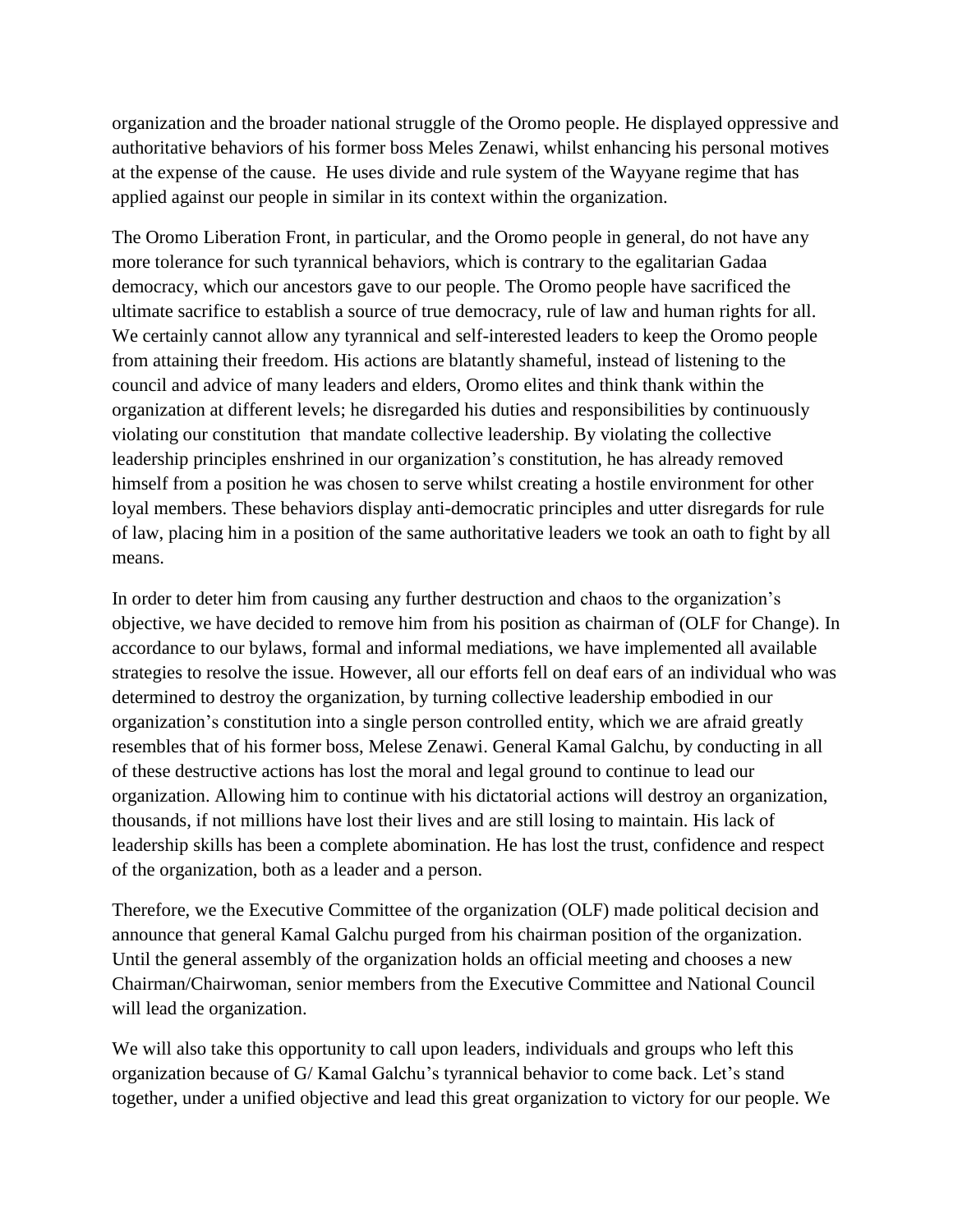organization and the broader national struggle of the Oromo people. He displayed oppressive and authoritative behaviors of his former boss Meles Zenawi, whilst enhancing his personal motives at the expense of the cause. He uses divide and rule system of the Wayyane regime that has applied against our people in similar in its context within the organization.

The Oromo Liberation Front, in particular, and the Oromo people in general, do not have any more tolerance for such tyrannical behaviors, which is contrary to the egalitarian Gadaa democracy, which our ancestors gave to our people. The Oromo people have sacrificed the ultimate sacrifice to establish a source of true democracy, rule of law and human rights for all. We certainly cannot allow any tyrannical and self-interested leaders to keep the Oromo people from attaining their freedom. His actions are blatantly shameful, instead of listening to the council and advice of many leaders and elders, Oromo elites and think thank within the organization at different levels; he disregarded his duties and responsibilities by continuously violating our constitution that mandate collective leadership. By violating the collective leadership principles enshrined in our organization's constitution, he has already removed himself from a position he was chosen to serve whilst creating a hostile environment for other loyal members. These behaviors display anti-democratic principles and utter disregards for rule of law, placing him in a position of the same authoritative leaders we took an oath to fight by all means.

In order to deter him from causing any further destruction and chaos to the organization's objective, we have decided to remove him from his position as chairman of (OLF for Change). In accordance to our bylaws, formal and informal mediations, we have implemented all available strategies to resolve the issue. However, all our efforts fell on deaf ears of an individual who was determined to destroy the organization, by turning collective leadership embodied in our organization's constitution into a single person controlled entity, which we are afraid greatly resembles that of his former boss, Melese Zenawi. General Kamal Galchu, by conducting in all of these destructive actions has lost the moral and legal ground to continue to lead our organization. Allowing him to continue with his dictatorial actions will destroy an organization, thousands, if not millions have lost their lives and are still losing to maintain. His lack of leadership skills has been a complete abomination. He has lost the trust, confidence and respect of the organization, both as a leader and a person.

Therefore, we the Executive Committee of the organization (OLF) made political decision and announce that general Kamal Galchu purged from his chairman position of the organization. Until the general assembly of the organization holds an official meeting and chooses a new Chairman/Chairwoman, senior members from the Executive Committee and National Council will lead the organization.

We will also take this opportunity to call upon leaders, individuals and groups who left this organization because of G/ Kamal Galchu's tyrannical behavior to come back. Let's stand together, under a unified objective and lead this great organization to victory for our people. We